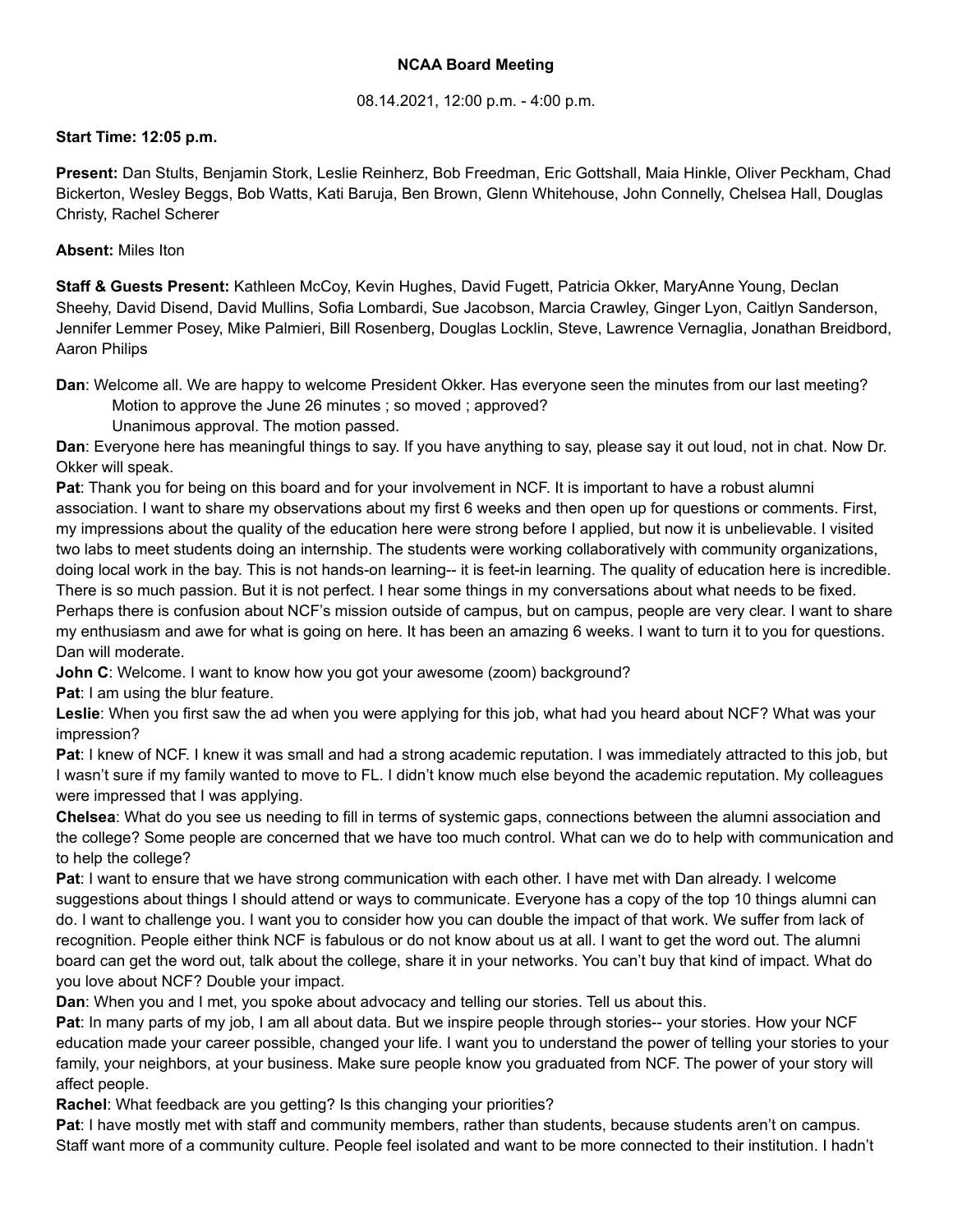# **NCAA Board Meeting**

### 08.14.2021, 12:00 p.m. - 4:00 p.m.

### **Start Time: 12:05 p.m.**

**Present:** Dan Stults, Benjamin Stork, Leslie Reinherz, Bob Freedman, Eric Gottshall, Maia Hinkle, Oliver Peckham, Chad Bickerton, Wesley Beggs, Bob Watts, Kati Baruja, Ben Brown, Glenn Whitehouse, John Connelly, Chelsea Hall, Douglas Christy, Rachel Scherer

### **Absent:** Miles Iton

**Staff & Guests Present:** Kathleen McCoy, Kevin Hughes, David Fugett, Patricia Okker, MaryAnne Young, Declan Sheehy, David Disend, David Mullins, Sofia Lombardi, Sue Jacobson, Marcia Crawley, Ginger Lyon, Caitlyn Sanderson, Jennifer Lemmer Posey, Mike Palmieri, Bill Rosenberg, Douglas Locklin, Steve, Lawrence Vernaglia, Jonathan Breidbord, Aaron Philips

**Dan**: Welcome all. We are happy to welcome President Okker. Has everyone seen the minutes from our last meeting? Motion to approve the June 26 minutes ; so moved ; approved?

Unanimous approval. The motion passed.

**Dan**: Everyone here has meaningful things to say. If you have anything to say, please say it out loud, not in chat. Now Dr. Okker will speak.

**Pat**: Thank you for being on this board and for your involvement in NCF. It is important to have a robust alumni association. I want to share my observations about my first 6 weeks and then open up for questions or comments. First, my impressions about the quality of the education here were strong before I applied, but now it is unbelievable. I visited two labs to meet students doing an internship. The students were working collaboratively with community organizations, doing local work in the bay. This is not hands-on learning-- it is feet-in learning. The quality of education here is incredible. There is so much passion. But it is not perfect. I hear some things in my conversations about what needs to be fixed. Perhaps there is confusion about NCF's mission outside of campus, but on campus, people are very clear. I want to share my enthusiasm and awe for what is going on here. It has been an amazing 6 weeks. I want to turn it to you for questions. Dan will moderate.

**John C**: Welcome. I want to know how you got your awesome (zoom) background?

**Pat:** I am using the blur feature.

**Leslie**: When you first saw the ad when you were applying for this job, what had you heard about NCF? What was your impression?

**Pat**: I knew of NCF. I knew it was small and had a strong academic reputation. I was immediately attracted to this job, but I wasn't sure if my family wanted to move to FL. I didn't know much else beyond the academic reputation. My colleagues were impressed that I was applying.

**Chelsea**: What do you see us needing to fill in terms of systemic gaps, connections between the alumni association and the college? Some people are concerned that we have too much control. What can we do to help with communication and to help the college?

**Pat**: I want to ensure that we have strong communication with each other. I have met with Dan already. I welcome suggestions about things I should attend or ways to communicate. Everyone has a copy of the top 10 things alumni can do. I want to challenge you. I want you to consider how you can double the impact of that work. We suffer from lack of recognition. People either think NCF is fabulous or do not know about us at all. I want to get the word out. The alumni board can get the word out, talk about the college, share it in your networks. You can't buy that kind of impact. What do you love about NCF? Double your impact.

**Dan**: When you and I met, you spoke about advocacy and telling our stories. Tell us about this.

**Pat**: In many parts of my job, I am all about data. But we inspire people through stories-- your stories. How your NCF education made your career possible, changed your life. I want you to understand the power of telling your stories to your family, your neighbors, at your business. Make sure people know you graduated from NCF. The power of your story will affect people.

**Rachel**: What feedback are you getting? Is this changing your priorities?

**Pat**: I have mostly met with staff and community members, rather than students, because students aren't on campus. Staff want more of a community culture. People feel isolated and want to be more connected to their institution. I hadn't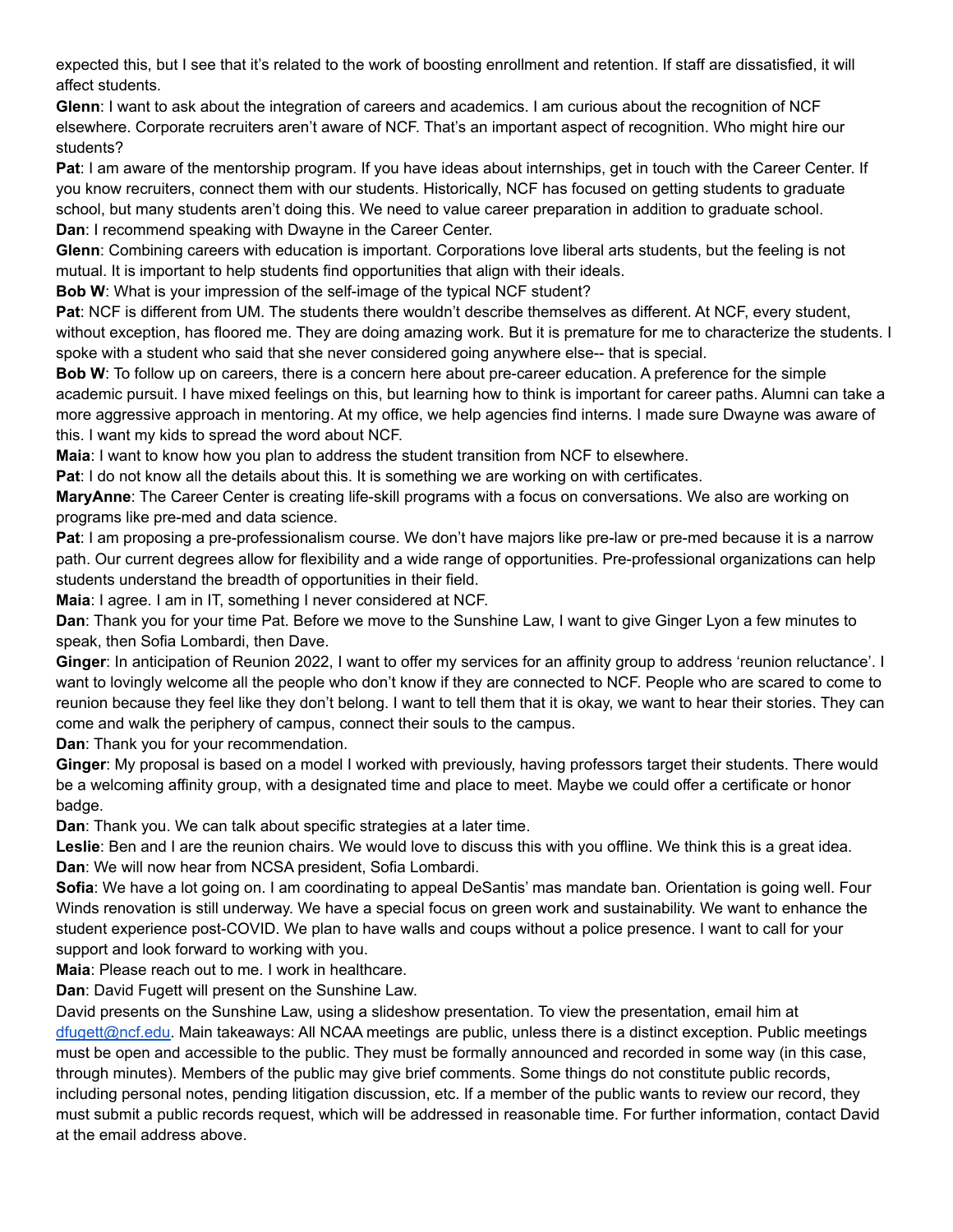expected this, but I see that it's related to the work of boosting enrollment and retention. If staff are dissatisfied, it will affect students.

**Glenn**: I want to ask about the integration of careers and academics. I am curious about the recognition of NCF elsewhere. Corporate recruiters aren't aware of NCF. That's an important aspect of recognition. Who might hire our students?

**Pat**: I am aware of the mentorship program. If you have ideas about internships, get in touch with the Career Center. If you know recruiters, connect them with our students. Historically, NCF has focused on getting students to graduate school, but many students aren't doing this. We need to value career preparation in addition to graduate school. **Dan**: I recommend speaking with Dwayne in the Career Center.

**Glenn**: Combining careers with education is important. Corporations love liberal arts students, but the feeling is not mutual. It is important to help students find opportunities that align with their ideals.

**Bob W**: What is your impression of the self-image of the typical NCF student?

**Pat**: NCF is different from UM. The students there wouldn't describe themselves as different. At NCF, every student, without exception, has floored me. They are doing amazing work. But it is premature for me to characterize the students. I spoke with a student who said that she never considered going anywhere else-- that is special.

**Bob W**: To follow up on careers, there is a concern here about pre-career education. A preference for the simple academic pursuit. I have mixed feelings on this, but learning how to think is important for career paths. Alumni can take a more aggressive approach in mentoring. At my office, we help agencies find interns. I made sure Dwayne was aware of this. I want my kids to spread the word about NCF.

**Maia**: I want to know how you plan to address the student transition from NCF to elsewhere.

**Pat:** I do not know all the details about this. It is something we are working on with certificates.

**MaryAnne**: The Career Center is creating life-skill programs with a focus on conversations. We also are working on programs like pre-med and data science.

**Pat**: I am proposing a pre-professionalism course. We don't have majors like pre-law or pre-med because it is a narrow path. Our current degrees allow for flexibility and a wide range of opportunities. Pre-professional organizations can help students understand the breadth of opportunities in their field.

**Maia**: I agree. I am in IT, something I never considered at NCF.

**Dan**: Thank you for your time Pat. Before we move to the Sunshine Law, I want to give Ginger Lyon a few minutes to speak, then Sofia Lombardi, then Dave.

**Ginger**: In anticipation of Reunion 2022, I want to offer my services for an affinity group to address 'reunion reluctance'. I want to lovingly welcome all the people who don't know if they are connected to NCF. People who are scared to come to reunion because they feel like they don't belong. I want to tell them that it is okay, we want to hear their stories. They can come and walk the periphery of campus, connect their souls to the campus.

**Dan**: Thank you for your recommendation.

**Ginger**: My proposal is based on a model I worked with previously, having professors target their students. There would be a welcoming affinity group, with a designated time and place to meet. Maybe we could offer a certificate or honor badge.

**Dan**: Thank you. We can talk about specific strategies at a later time.

**Leslie**: Ben and I are the reunion chairs. We would love to discuss this with you offline. We think this is a great idea. **Dan**: We will now hear from NCSA president, Sofia Lombardi.

**Sofia**: We have a lot going on. I am coordinating to appeal DeSantis' mas mandate ban. Orientation is going well. Four Winds renovation is still underway. We have a special focus on green work and sustainability. We want to enhance the student experience post-COVID. We plan to have walls and coups without a police presence. I want to call for your support and look forward to working with you.

**Maia**: Please reach out to me. I work in healthcare.

**Dan**: David Fugett will present on the Sunshine Law.

David presents on the Sunshine Law, using a slideshow presentation. To view the presentation, email him at [dfugett@ncf.edu.](mailto:dfugett@ncf.edu) Main takeaways: All NCAA meetings are public, unless there is a distinct exception. Public meetings must be open and accessible to the public. They must be formally announced and recorded in some way (in this case, through minutes). Members of the public may give brief comments. Some things do not constitute public records, including personal notes, pending litigation discussion, etc. If a member of the public wants to review our record, they must submit a public records request, which will be addressed in reasonable time. For further information, contact David at the email address above.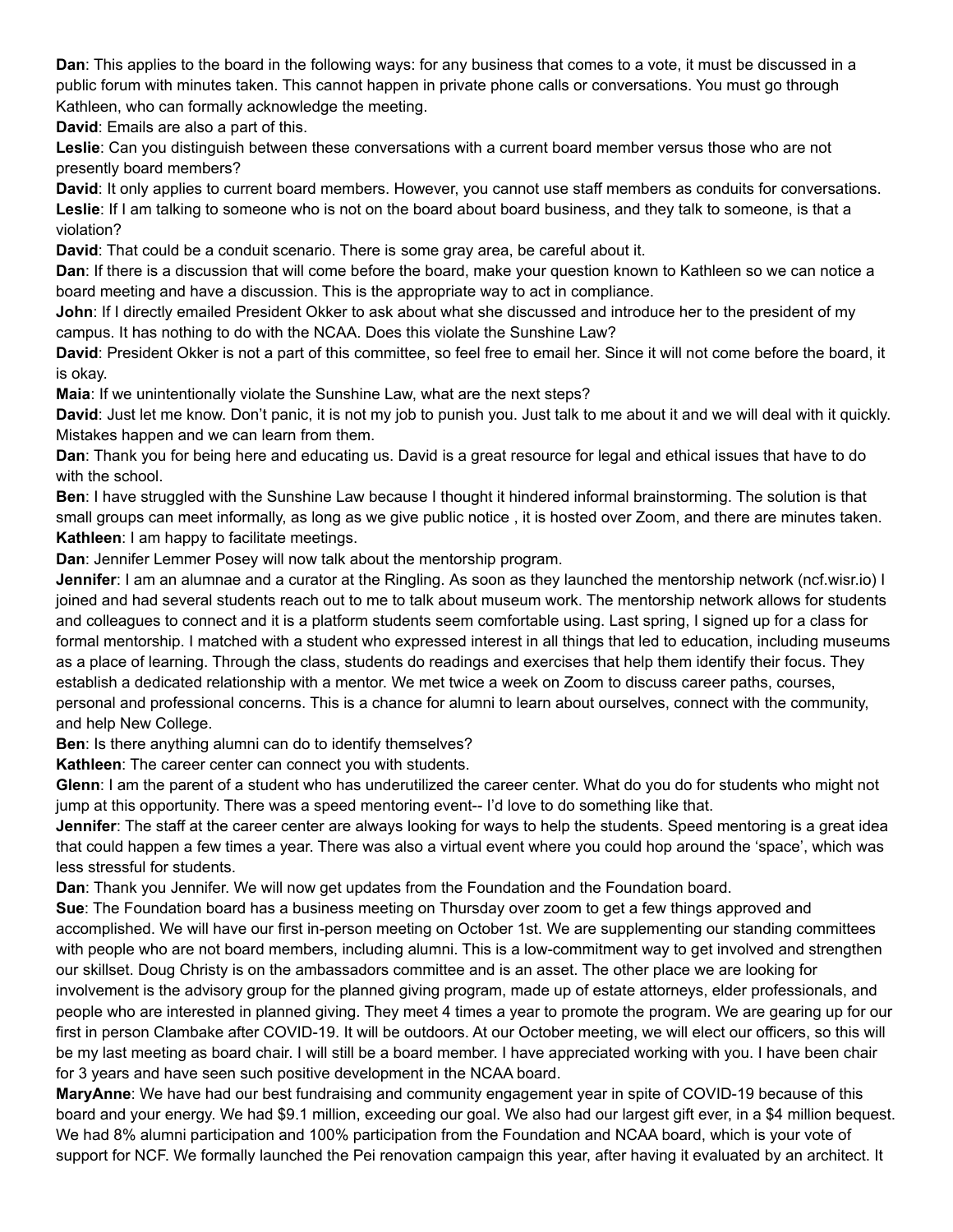**Dan**: This applies to the board in the following ways: for any business that comes to a vote, it must be discussed in a public forum with minutes taken. This cannot happen in private phone calls or conversations. You must go through Kathleen, who can formally acknowledge the meeting.

**David**: Emails are also a part of this.

**Leslie**: Can you distinguish between these conversations with a current board member versus those who are not presently board members?

**David**: It only applies to current board members. However, you cannot use staff members as conduits for conversations. Leslie: If I am talking to someone who is not on the board about board business, and they talk to someone, is that a violation?

**David**: That could be a conduit scenario. There is some gray area, be careful about it.

**Dan**: If there is a discussion that will come before the board, make your question known to Kathleen so we can notice a board meeting and have a discussion. This is the appropriate way to act in compliance.

**John**: If I directly emailed President Okker to ask about what she discussed and introduce her to the president of my campus. It has nothing to do with the NCAA. Does this violate the Sunshine Law?

**David**: President Okker is not a part of this committee, so feel free to email her. Since it will not come before the board, it is okay.

**Maia**: If we unintentionally violate the Sunshine Law, what are the next steps?

**David**: Just let me know. Don't panic, it is not my job to punish you. Just talk to me about it and we will deal with it quickly. Mistakes happen and we can learn from them.

**Dan**: Thank you for being here and educating us. David is a great resource for legal and ethical issues that have to do with the school.

**Ben**: I have struggled with the Sunshine Law because I thought it hindered informal brainstorming. The solution is that small groups can meet informally, as long as we give public notice , it is hosted over Zoom, and there are minutes taken. **Kathleen**: I am happy to facilitate meetings.

**Dan**: Jennifer Lemmer Posey will now talk about the mentorship program.

**Jennifer**: I am an alumnae and a curator at the Ringling. As soon as they launched the mentorship network (ncf.wisr.io) I joined and had several students reach out to me to talk about museum work. The mentorship network allows for students and colleagues to connect and it is a platform students seem comfortable using. Last spring, I signed up for a class for formal mentorship. I matched with a student who expressed interest in all things that led to education, including museums as a place of learning. Through the class, students do readings and exercises that help them identify their focus. They establish a dedicated relationship with a mentor. We met twice a week on Zoom to discuss career paths, courses, personal and professional concerns. This is a chance for alumni to learn about ourselves, connect with the community, and help New College.

**Ben**: Is there anything alumni can do to identify themselves?

**Kathleen**: The career center can connect you with students.

**Glenn**: I am the parent of a student who has underutilized the career center. What do you do for students who might not jump at this opportunity. There was a speed mentoring event-- I'd love to do something like that.

**Jennifer**: The staff at the career center are always looking for ways to help the students. Speed mentoring is a great idea that could happen a few times a year. There was also a virtual event where you could hop around the 'space', which was less stressful for students.

**Dan**: Thank you Jennifer. We will now get updates from the Foundation and the Foundation board.

**Sue**: The Foundation board has a business meeting on Thursday over zoom to get a few things approved and accomplished. We will have our first in-person meeting on October 1st. We are supplementing our standing committees with people who are not board members, including alumni. This is a low-commitment way to get involved and strengthen our skillset. Doug Christy is on the ambassadors committee and is an asset. The other place we are looking for involvement is the advisory group for the planned giving program, made up of estate attorneys, elder professionals, and people who are interested in planned giving. They meet 4 times a year to promote the program. We are gearing up for our first in person Clambake after COVID-19. It will be outdoors. At our October meeting, we will elect our officers, so this will be my last meeting as board chair. I will still be a board member. I have appreciated working with you. I have been chair for 3 years and have seen such positive development in the NCAA board.

**MaryAnne**: We have had our best fundraising and community engagement year in spite of COVID-19 because of this board and your energy. We had \$9.1 million, exceeding our goal. We also had our largest gift ever, in a \$4 million bequest. We had 8% alumni participation and 100% participation from the Foundation and NCAA board, which is your vote of support for NCF. We formally launched the Pei renovation campaign this year, after having it evaluated by an architect. It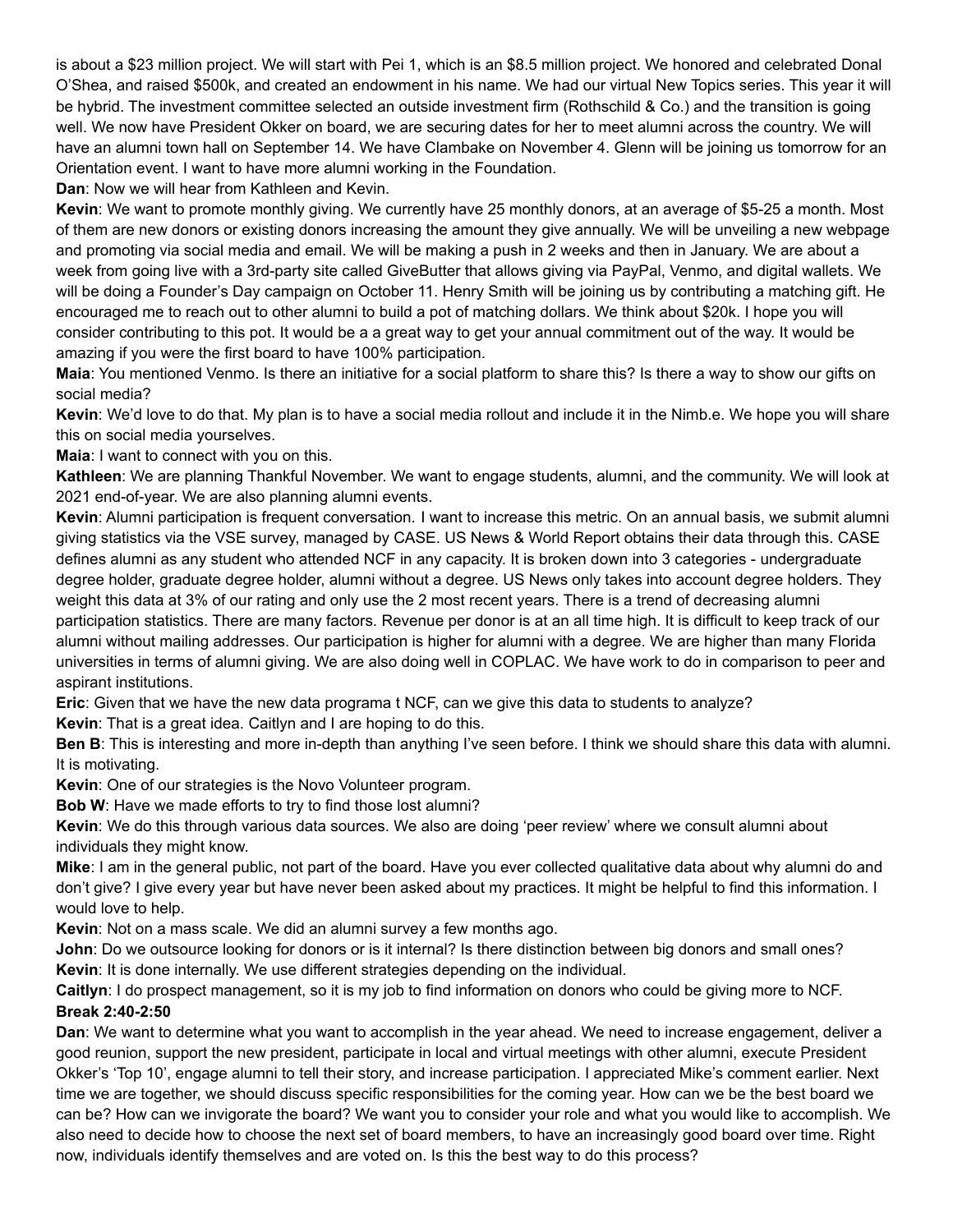is about a \$23 million project. We will start with Pei 1, which is an \$8.5 million project. We honored and celebrated Donal O'Shea, and raised \$500k, and created an endowment in his name. We had our virtual New Topics series. This year it will be hybrid. The investment committee selected an outside investment firm (Rothschild & Co.) and the transition is going well. We now have President Okker on board, we are securing dates for her to meet alumni across the country. We will have an alumni town hall on September 14. We have Clambake on November 4. Glenn will be joining us tomorrow for an Orientation event. I want to have more alumni working in the Foundation.

**Dan**: Now we will hear from Kathleen and Kevin.

**Kevin**: We want to promote monthly giving. We currently have 25 monthly donors, at an average of \$5-25 a month. Most of them are new donors or existing donors increasing the amount they give annually. We will be unveiling a new webpage and promoting via social media and email. We will be making a push in 2 weeks and then in January. We are about a week from going live with a 3rd-party site called GiveButter that allows giving via PayPal, Venmo, and digital wallets. We will be doing a Founder's Day campaign on October 11. Henry Smith will be joining us by contributing a matching gift. He encouraged me to reach out to other alumni to build a pot of matching dollars. We think about \$20k. I hope you will consider contributing to this pot. It would be a a great way to get your annual commitment out of the way. It would be amazing if you were the first board to have 100% participation.

**Maia**: You mentioned Venmo. Is there an initiative for a social platform to share this? Is there a way to show our gifts on social media?

**Kevin**: We'd love to do that. My plan is to have a social media rollout and include it in the Nimb.e. We hope you will share this on social media yourselves.

**Maia**: I want to connect with you on this.

**Kathleen**: We are planning Thankful November. We want to engage students, alumni, and the community. We will look at 2021 end-of-year. We are also planning alumni events.

**Kevin**: Alumni participation is frequent conversation. I want to increase this metric. On an annual basis, we submit alumni giving statistics via the VSE survey, managed by CASE. US News & World Report obtains their data through this. CASE defines alumni as any student who attended NCF in any capacity. It is broken down into 3 categories - undergraduate degree holder, graduate degree holder, alumni without a degree. US News only takes into account degree holders. They weight this data at 3% of our rating and only use the 2 most recent years. There is a trend of decreasing alumni participation statistics. There are many factors. Revenue per donor is at an all time high. It is difficult to keep track of our alumni without mailing addresses. Our participation is higher for alumni with a degree. We are higher than many Florida universities in terms of alumni giving. We are also doing well in COPLAC. We have work to do in comparison to peer and aspirant institutions.

**Eric**: Given that we have the new data programa t NCF, can we give this data to students to analyze?

**Kevin**: That is a great idea. Caitlyn and I are hoping to do this.

**Ben B**: This is interesting and more in-depth than anything I've seen before. I think we should share this data with alumni. It is motivating.

**Kevin**: One of our strategies is the Novo Volunteer program.

**Bob W**: Have we made efforts to try to find those lost alumni?

**Kevin**: We do this through various data sources. We also are doing 'peer review' where we consult alumni about individuals they might know.

**Mike**: I am in the general public, not part of the board. Have you ever collected qualitative data about why alumni do and don't give? I give every year but have never been asked about my practices. It might be helpful to find this information. I would love to help.

**Kevin**: Not on a mass scale. We did an alumni survey a few months ago.

**John**: Do we outsource looking for donors or is it internal? Is there distinction between big donors and small ones? **Kevin**: It is done internally. We use different strategies depending on the individual.

**Caitlyn**: I do prospect management, so it is my job to find information on donors who could be giving more to NCF. **Break 2:40-2:50**

**Dan**: We want to determine what you want to accomplish in the year ahead. We need to increase engagement, deliver a good reunion, support the new president, participate in local and virtual meetings with other alumni, execute President Okker's 'Top 10', engage alumni to tell their story, and increase participation. I appreciated Mike's comment earlier. Next time we are together, we should discuss specific responsibilities for the coming year. How can we be the best board we can be? How can we invigorate the board? We want you to consider your role and what you would like to accomplish. We also need to decide how to choose the next set of board members, to have an increasingly good board over time. Right now, individuals identify themselves and are voted on. Is this the best way to do this process?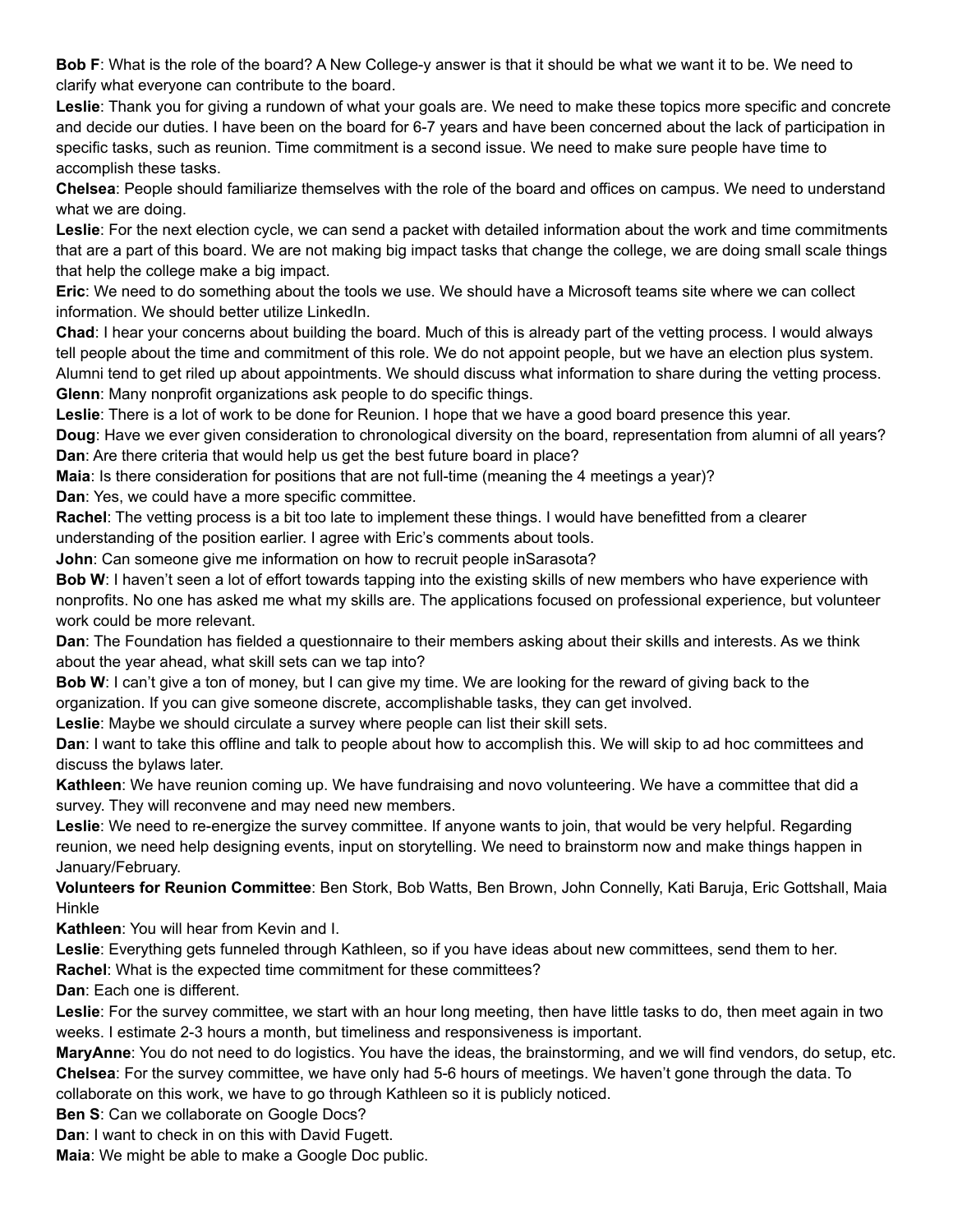**Bob F**: What is the role of the board? A New College-y answer is that it should be what we want it to be. We need to clarify what everyone can contribute to the board.

**Leslie**: Thank you for giving a rundown of what your goals are. We need to make these topics more specific and concrete and decide our duties. I have been on the board for 6-7 years and have been concerned about the lack of participation in specific tasks, such as reunion. Time commitment is a second issue. We need to make sure people have time to accomplish these tasks.

**Chelsea**: People should familiarize themselves with the role of the board and offices on campus. We need to understand what we are doing.

**Leslie**: For the next election cycle, we can send a packet with detailed information about the work and time commitments that are a part of this board. We are not making big impact tasks that change the college, we are doing small scale things that help the college make a big impact.

**Eric**: We need to do something about the tools we use. We should have a Microsoft teams site where we can collect information. We should better utilize LinkedIn.

**Chad**: I hear your concerns about building the board. Much of this is already part of the vetting process. I would always tell people about the time and commitment of this role. We do not appoint people, but we have an election plus system. Alumni tend to get riled up about appointments. We should discuss what information to share during the vetting process. **Glenn**: Many nonprofit organizations ask people to do specific things.

**Leslie**: There is a lot of work to be done for Reunion. I hope that we have a good board presence this year.

**Doug**: Have we ever given consideration to chronological diversity on the board, representation from alumni of all years? **Dan**: Are there criteria that would help us get the best future board in place?

**Maia**: Is there consideration for positions that are not full-time (meaning the 4 meetings a year)?

**Dan**: Yes, we could have a more specific committee.

**Rachel**: The vetting process is a bit too late to implement these things. I would have benefitted from a clearer understanding of the position earlier. I agree with Eric's comments about tools.

**John**: Can someone give me information on how to recruit people inSarasota?

**Bob W**: I haven't seen a lot of effort towards tapping into the existing skills of new members who have experience with nonprofits. No one has asked me what my skills are. The applications focused on professional experience, but volunteer work could be more relevant.

**Dan**: The Foundation has fielded a questionnaire to their members asking about their skills and interests. As we think about the year ahead, what skill sets can we tap into?

**Bob W**: I can't give a ton of money, but I can give my time. We are looking for the reward of giving back to the organization. If you can give someone discrete, accomplishable tasks, they can get involved.

**Leslie**: Maybe we should circulate a survey where people can list their skill sets.

**Dan**: I want to take this offline and talk to people about how to accomplish this. We will skip to ad hoc committees and discuss the bylaws later.

**Kathleen**: We have reunion coming up. We have fundraising and novo volunteering. We have a committee that did a survey. They will reconvene and may need new members.

**Leslie**: We need to re-energize the survey committee. If anyone wants to join, that would be very helpful. Regarding reunion, we need help designing events, input on storytelling. We need to brainstorm now and make things happen in January/February.

**Volunteers for Reunion Committee**: Ben Stork, Bob Watts, Ben Brown, John Connelly, Kati Baruja, Eric Gottshall, Maia **Hinkle** 

**Kathleen**: You will hear from Kevin and I.

**Leslie**: Everything gets funneled through Kathleen, so if you have ideas about new committees, send them to her. **Rachel:** What is the expected time commitment for these committees?

**Dan**: Each one is different.

**Leslie**: For the survey committee, we start with an hour long meeting, then have little tasks to do, then meet again in two weeks. I estimate 2-3 hours a month, but timeliness and responsiveness is important.

**MaryAnne**: You do not need to do logistics. You have the ideas, the brainstorming, and we will find vendors, do setup, etc. **Chelsea**: For the survey committee, we have only had 5-6 hours of meetings. We haven't gone through the data. To collaborate on this work, we have to go through Kathleen so it is publicly noticed.

**Ben S**: Can we collaborate on Google Docs?

**Dan**: I want to check in on this with David Fugett.

**Maia**: We might be able to make a Google Doc public.